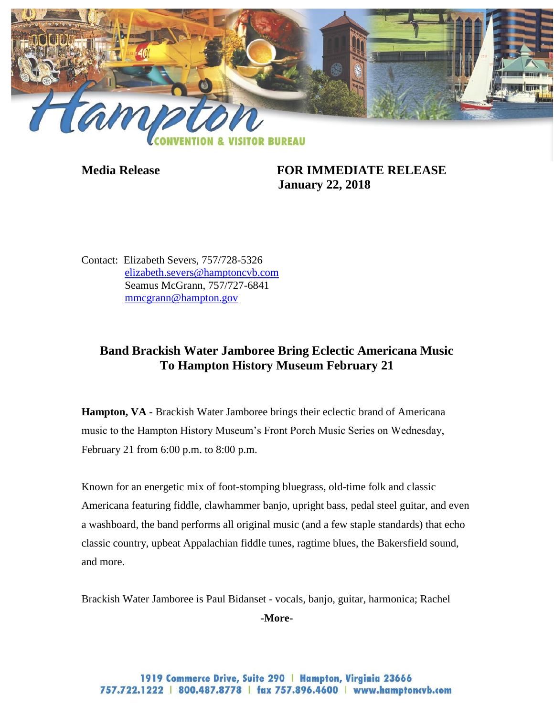

**Media Release FOR IMMEDIATE RELEASE January 22, 2018**

Contact: Elizabeth Severs, 757/728-5326 [elizabeth.severs@hamptoncvb.com](mailto:elizabeth.severs@hamptoncvb.com) Seamus McGrann, 757/727-6841 [mmcgrann@hampton.gov](mailto:mmcgrann@hampton.gov)

## **Band Brackish Water Jamboree Bring Eclectic Americana Music To Hampton History Museum February 21**

**Hampton, VA -** Brackish Water Jamboree brings their eclectic brand of Americana music to the Hampton History Museum's Front Porch Music Series on Wednesday, February 21 from 6:00 p.m. to 8:00 p.m.

Known for an energetic mix of foot-stomping bluegrass, old-time folk and classic Americana featuring fiddle, clawhammer banjo, upright bass, pedal steel guitar, and even a washboard, the band performs all original music (and a few staple standards) that echo classic country, upbeat Appalachian fiddle tunes, ragtime blues, the Bakersfield sound, and more.

Brackish Water Jamboree is Paul Bidanset - vocals, banjo, guitar, harmonica; Rachel

**-More-**

1919 Commerce Drive, Suite 290 | Hampton, Virginia 23666 757.722.1222 | 800.487.8778 | fax 757.896.4600 | www.hamptoncvb.com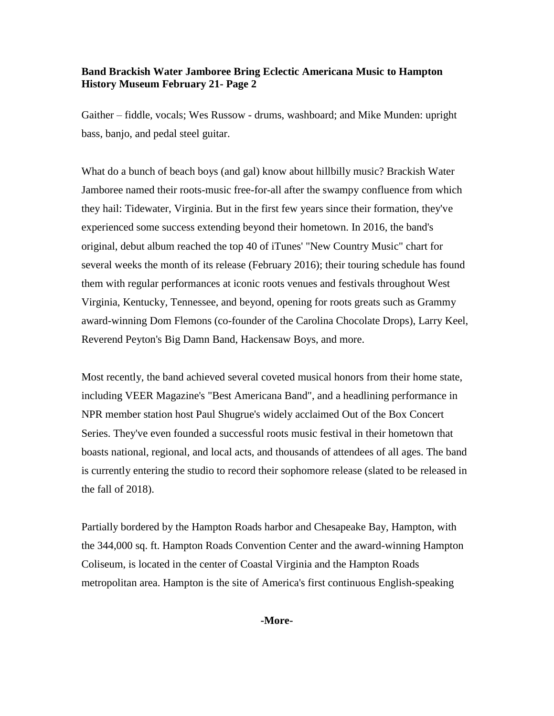## **Band Brackish Water Jamboree Bring Eclectic Americana Music to Hampton History Museum February 21- Page 2**

Gaither – fiddle, vocals; Wes Russow - drums, washboard; and Mike Munden: upright bass, banjo, and pedal steel guitar.

What do a bunch of beach boys (and gal) know about hillbilly music? Brackish Water Jamboree named their roots-music free-for-all after the swampy confluence from which they hail: Tidewater, Virginia. But in the first few years since their formation, they've experienced some success extending beyond their hometown. In 2016, the band's original, debut album reached the top 40 of iTunes' "New Country Music" chart for several weeks the month of its release (February 2016); their touring schedule has found them with regular performances at iconic roots venues and festivals throughout West Virginia, Kentucky, Tennessee, and beyond, opening for roots greats such as Grammy award-winning Dom Flemons (co-founder of the Carolina Chocolate Drops), Larry Keel, Reverend Peyton's Big Damn Band, Hackensaw Boys, and more.

Most recently, the band achieved several coveted musical honors from their home state, including VEER Magazine's "Best Americana Band", and a headlining performance in NPR member station host Paul Shugrue's widely acclaimed Out of the Box Concert Series. They've even founded a successful roots music festival in their hometown that boasts national, regional, and local acts, and thousands of attendees of all ages. The band is currently entering the studio to record their sophomore release (slated to be released in the fall of 2018).

Partially bordered by the Hampton Roads harbor and Chesapeake Bay, Hampton, with the 344,000 sq. ft. Hampton Roads Convention Center and the award-winning Hampton Coliseum, is located in the center of Coastal Virginia and the Hampton Roads metropolitan area. Hampton is the site of America's first continuous English-speaking

**-More-**